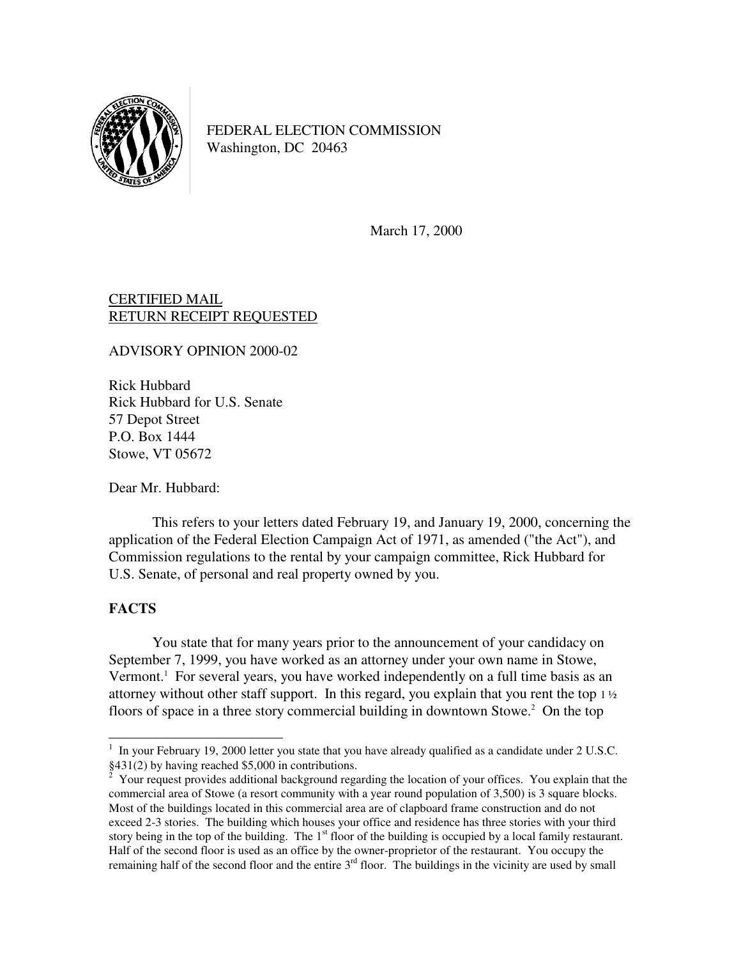

FEDERAL ELECTION COMMISSION Washington, DC 20463

March 17, 2000

## CERTIFIED MAIL RETURN RECEIPT REQUESTED

ADVISORY OPINION 2000-02

Rick Hubbard Rick Hubbard for U.S. Senate 57 Depot Street P.O. Box 1444 Stowe, VT 05672

Dear Mr. Hubbard:

 This refers to your letters dated February 19, and January 19, 2000, concerning the application of the Federal Election Campaign Act of 1971, as amended ("the Act"), and Commission regulations to the rental by your campaign committee, Rick Hubbard for U.S. Senate, of personal and real property owned by you.

## **FACTS**

 You state that for many years prior to the announcement of your candidacy on September 7, 1999, you have worked as an attorney under your own name in Stowe, Vermont.<sup>1</sup> For several years, you have worked independently on a full time basis as an attorney without other staff support. In this regard, you explain that you rent the top  $1\frac{1}{2}$ floors of space in a three story commercial building in downtown Stowe.<sup>2</sup> On the top

 1 In your February 19, 2000 letter you state that you have already qualified as a candidate under 2 U.S.C. §431(2) by having reached \$5,000 in contributions.

 $2$  Your request provides additional background regarding the location of your offices. You explain that the commercial area of Stowe (a resort community with a year round population of 3,500) is 3 square blocks. Most of the buildings located in this commercial area are of clapboard frame construction and do not exceed 2-3 stories. The building which houses your office and residence has three stories with your third story being in the top of the building. The  $1<sup>st</sup>$  floor of the building is occupied by a local family restaurant. Half of the second floor is used as an office by the owner-proprietor of the restaurant. You occupy the remaining half of the second floor and the entire  $3<sup>rd</sup>$  floor. The buildings in the vicinity are used by small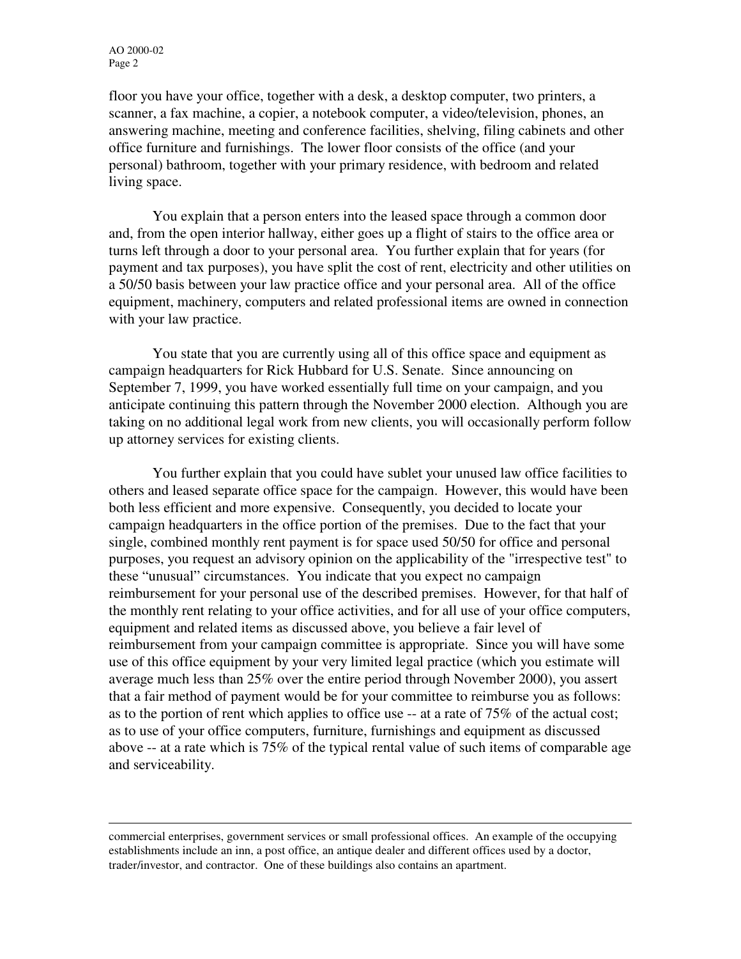j

floor you have your office, together with a desk, a desktop computer, two printers, a scanner, a fax machine, a copier, a notebook computer, a video/television, phones, an answering machine, meeting and conference facilities, shelving, filing cabinets and other office furniture and furnishings. The lower floor consists of the office (and your personal) bathroom, together with your primary residence, with bedroom and related living space.

You explain that a person enters into the leased space through a common door and, from the open interior hallway, either goes up a flight of stairs to the office area or turns left through a door to your personal area. You further explain that for years (for payment and tax purposes), you have split the cost of rent, electricity and other utilities on a 50/50 basis between your law practice office and your personal area. All of the office equipment, machinery, computers and related professional items are owned in connection with your law practice.

 You state that you are currently using all of this office space and equipment as campaign headquarters for Rick Hubbard for U.S. Senate. Since announcing on September 7, 1999, you have worked essentially full time on your campaign, and you anticipate continuing this pattern through the November 2000 election. Although you are taking on no additional legal work from new clients, you will occasionally perform follow up attorney services for existing clients.

 You further explain that you could have sublet your unused law office facilities to others and leased separate office space for the campaign. However, this would have been both less efficient and more expensive. Consequently, you decided to locate your campaign headquarters in the office portion of the premises. Due to the fact that your single, combined monthly rent payment is for space used 50/50 for office and personal purposes, you request an advisory opinion on the applicability of the "irrespective test" to these "unusual" circumstances. You indicate that you expect no campaign reimbursement for your personal use of the described premises. However, for that half of the monthly rent relating to your office activities, and for all use of your office computers, equipment and related items as discussed above, you believe a fair level of reimbursement from your campaign committee is appropriate. Since you will have some use of this office equipment by your very limited legal practice (which you estimate will average much less than 25% over the entire period through November 2000), you assert that a fair method of payment would be for your committee to reimburse you as follows: as to the portion of rent which applies to office use -- at a rate of 75% of the actual cost; as to use of your office computers, furniture, furnishings and equipment as discussed above -- at a rate which is 75% of the typical rental value of such items of comparable age and serviceability.

commercial enterprises, government services or small professional offices. An example of the occupying establishments include an inn, a post office, an antique dealer and different offices used by a doctor, trader/investor, and contractor. One of these buildings also contains an apartment.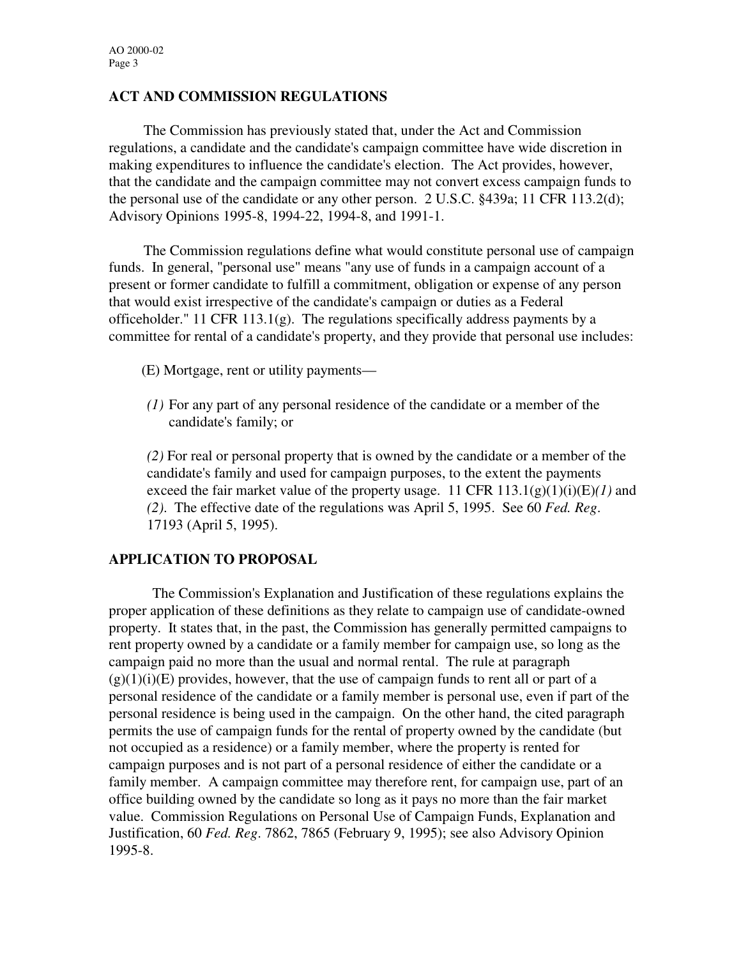## **ACT AND COMMISSION REGULATIONS**

The Commission has previously stated that, under the Act and Commission regulations, a candidate and the candidate's campaign committee have wide discretion in making expenditures to influence the candidate's election. The Act provides, however, that the candidate and the campaign committee may not convert excess campaign funds to the personal use of the candidate or any other person. 2 U.S.C. §439a; 11 CFR 113.2(d); Advisory Opinions 1995-8, 1994-22, 1994-8, and 1991-1.

 The Commission regulations define what would constitute personal use of campaign funds. In general, "personal use" means "any use of funds in a campaign account of a present or former candidate to fulfill a commitment, obligation or expense of any person that would exist irrespective of the candidate's campaign or duties as a Federal officeholder." 11 CFR 113.1(g). The regulations specifically address payments by a committee for rental of a candidate's property, and they provide that personal use includes:

- (E) Mortgage, rent or utility payments—
- *(1)* For any part of any personal residence of the candidate or a member of the candidate's family; or

*(2)* For real or personal property that is owned by the candidate or a member of the candidate's family and used for campaign purposes, to the extent the payments exceed the fair market value of the property usage. 11 CFR  $113.1(g)(1)(i)(E)/1$  and *(2)*. The effective date of the regulations was April 5, 1995. See 60 *Fed. Reg*. 17193 (April 5, 1995).

## **APPLICATION TO PROPOSAL**

The Commission's Explanation and Justification of these regulations explains the proper application of these definitions as they relate to campaign use of candidate-owned property. It states that, in the past, the Commission has generally permitted campaigns to rent property owned by a candidate or a family member for campaign use, so long as the campaign paid no more than the usual and normal rental. The rule at paragraph  $(g)(1)(i)(E)$  provides, however, that the use of campaign funds to rent all or part of a personal residence of the candidate or a family member is personal use, even if part of the personal residence is being used in the campaign. On the other hand, the cited paragraph permits the use of campaign funds for the rental of property owned by the candidate (but not occupied as a residence) or a family member, where the property is rented for campaign purposes and is not part of a personal residence of either the candidate or a family member. A campaign committee may therefore rent, for campaign use, part of an office building owned by the candidate so long as it pays no more than the fair market value. Commission Regulations on Personal Use of Campaign Funds, Explanation and Justification, 60 *Fed. Reg*. 7862, 7865 (February 9, 1995); see also Advisory Opinion 1995-8.